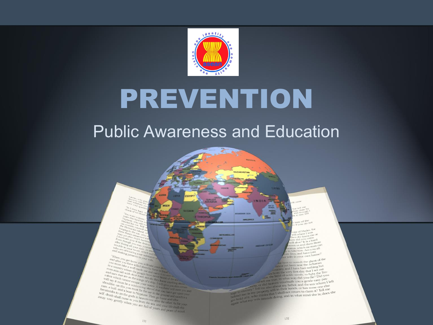

# PREVENTION

#### Public Awareness and Education

av of the Il *Yon do not*<br>Il *Yon do not* 

e of Hades, for the of Hades<br>Ill where I was n she knew me at w did you come<br>w did you come bow did you con<br>halive? It is a hard ow did you<br>on us and them there<br>nus, which no man can<br>nus, which no man can<br>nise him. Are you all tatius, which no man<br>to take him. Are you all to take him. Are you<br>m Troy, and have you wife in your own house!<br>Wife in your own house!

here to consult the ghost of the the here to consult the ghose<br>power yet been near the Achaean country and I have had nothing but country, and I have had nothing.<br>It is the very first day that I set out os from the very first day that I set our<br>the land of noble steeds, to fight the Tro-<br>the land of noble steeds, to fight the Troat the land of noble steeds, to fight the mains the land of noble steeds to fight the asy pas-<br>at tell me true, in what way did you die? Did you The time and the two-state way did you die? Dist when the time and the time and the cost of did below and the set you a gentle of the set of the set of the set of the set of the set of the set of the set of the set of the at the line in what way did you die? Did you.<br>At fell me true in what way did you a gentle easy pas-<br>at did heaven yout my father, and the son whom I sign to enterprise property still in their hands or mass one.<br>Signal me, Is my property still in the<br>Il not return to claim it? Tell me<br>of hold of it, who thinks that I shall and in what mind she is: does she<br>pain what my

in<sub>1</sub>  $\begin{array}{cccc} \mathcal{D}_{\text{DFGN-2DQ}} & \mathcal{D}_{\text{OGF}} & \mathcal{D}_{\text{OGF}} & \mathcal{D}_{\text{OGF}} & \mathcal{D}_{\text{OFT}} & \mathcal{D}_{\text{OFT}} & \mathcal{D}_{\text{OFT}} & \mathcal{D}_{\text{OFT}} & \mathcal{D}_{\text{OFT}} & \mathcal{D}_{\text{OFT}} & \mathcal{D}_{\text{OFT}} & \mathcal{D}_{\text{OFT}} & \mathcal{D}_{\text{OFT}} & \mathcal{D}_{\text{OFT}} & \mathcal{D}_{\text{OFT}} & \mathcal{D}_{\text{OFT}} &$ When you get home you will also your wife<br>and after you get home you will enter your him to your will cake your<br>to a country take a weall mude them by the<br>two mix sais when the linear by the same and after you get home you will take<br>to a country where killed them by<br>to a country where a well middle direct by<br>even mix sait with the people are an<br>ind one, sait with the people are Four milits take well made you will take you milits take it will take you military when well made you and the second the second take you and the second the second take you and the second the second there is the first final Ca country well made the propies that  $a$  is the propies of  $n_{\text{IR}}$  and  $a_{\text{IR}}$  is sait with the propies of  $a$  and  $b$  is the propies of  $a$  is the propies of  $a$  is the propies of  $a$  is the propies of  $a$  is the pr even mix sair where the persons and only one of the person of the person of the person of the person of the person of the person of the person of the person of the person of the person of the person of the person of the pe and ours that with their textile always and ours that a disc in the property of the state of the state of the state of the state of the state of the state of the state of the state of the state of the state of the state of will say the fit and the except year of the state of the state of the state of the state of the state of the state of the state of the state of the state of the state of the state of the state of the state of the state of should be finite by a stripped with rate of the stripped and the range of the stripped and the stripped and the stripped and the stripped and the stripped and the stripped and the stripped and the stripped and the strippe Fam. a both this you minor the showed from the contract of the contract of the contract of the contract of the outer in the contract of the contract of the contract of the contract of the contract of the contract of the c necessary and a bourned with the specific the specific stress and a bound of the present in the specific control of the gods in the specific control of the gods in the gods from the specific stress of the gods in the speci self, death shall conce to the prime. Then go bound and southern<br>away very gently when you from the search the concentration<br>away very gently when you from the search the other As for you<br>gently when you from the sea and y

 $131$ 

132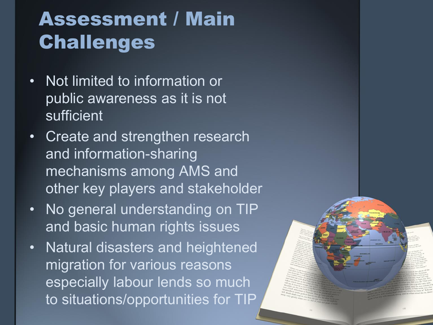- Not limited to information or public awareness as it is not sufficient
- Create and strengthen research and information-sharing mechanisms among AMS and other key players and stakeholder
- No general understanding on TIP and basic human rights issues
- Natural disasters and heightened migration for various reasons especially labour lends so much to situations/opportunities for TIP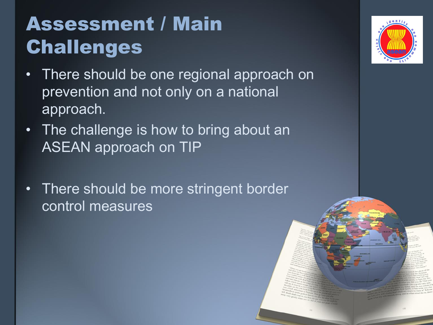- There should be one regional approach on prevention and not only on a national approach.
- The challenge is how to bring about an ASEAN approach on TIP
- There should be more stringent border control measures

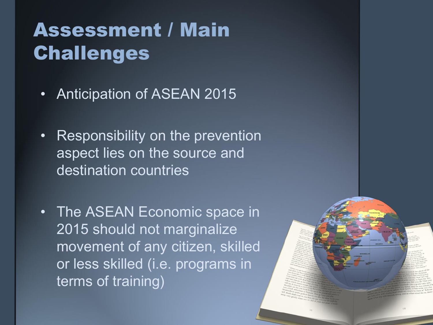- Anticipation of ASEAN 2015
- Responsibility on the prevention aspect lies on the source and destination countries
- The ASEAN Economic space in 2015 should not marginalize movement of any citizen, skilled or less skilled (i.e. programs in terms of training)

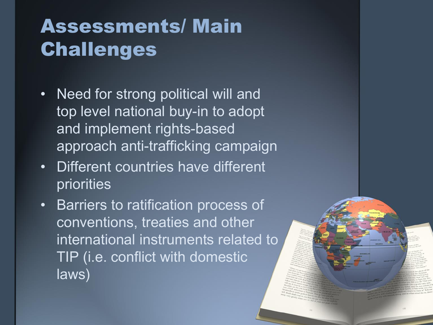- Need for strong political will and top level national buy-in to adopt and implement rights-based approach anti-trafficking campaign
- Different countries have different priorities
- Barriers to ratification process of conventions, treaties and other international instruments related to TIP (i.e. conflict with domestic laws)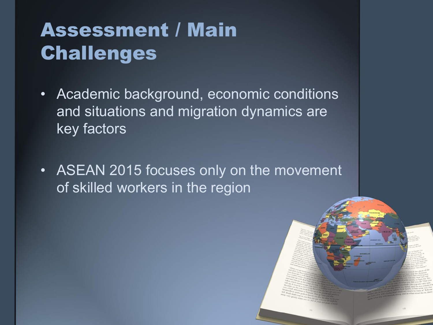- Academic background, economic conditions and situations and migration dynamics are key factors
- ASEAN 2015 focuses only on the movement of skilled workers in the region

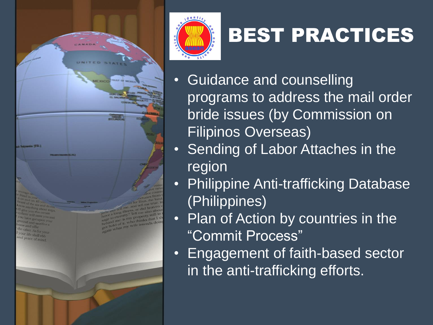



## BEST PRACTICES

- Guidance and counselling programs to address the mail order bride issues (by Commission on Filipinos Overseas)
- Sending of Labor Attaches in the region
- Philippine Anti-trafficking Database (Philippines)
- Plan of Action by countries in the "Commit Process"
- Engagement of faith-based sector in the anti-trafficking efforts.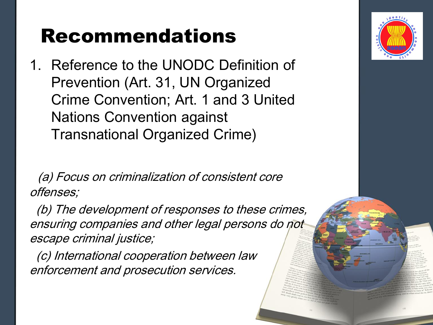1. Reference to the UNODC Definition of Prevention (Art. 31, UN Organized Crime Convention; Art. 1 and 3 United Nations Convention against Transnational Organized Crime)

 (a) Focus on criminalization of consistent core offenses;

(b) The development of responses to these crimes, ensuring companies and other legal persons do not escape criminal justice;

 (c) International cooperation between law enforcement and prosecution services.

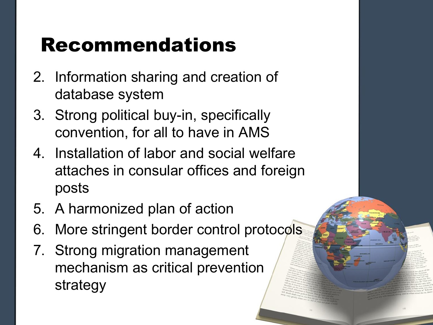- 2. Information sharing and creation of database system
- 3. Strong political buy-in, specifically convention, for all to have in AMS
- 4. Installation of labor and social welfare attaches in consular offices and foreign posts
- 5. A harmonized plan of action
- 6. More stringent border control protocols
- 7. Strong migration management mechanism as critical prevention strategy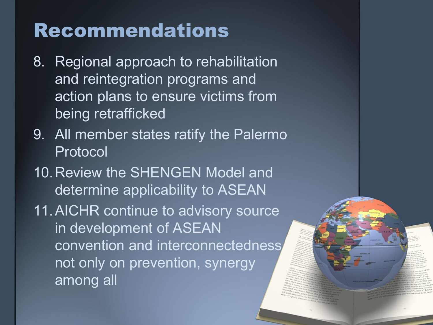- 8. Regional approach to rehabilitation and reintegration programs and action plans to ensure victims from being retrafficked
- 9. All member states ratify the Palermo Protocol
- 10.Review the SHENGEN Model and determine applicability to ASEAN
- 11.AICHR continue to advisory source in development of ASEAN convention and interconnectedness not only on prevention, synergy among all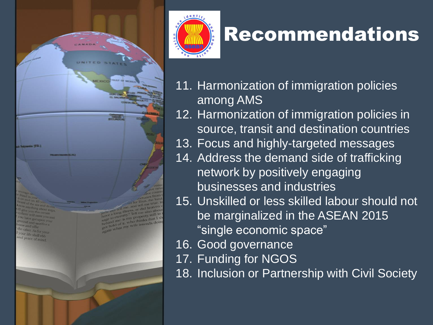



- 11. Harmonization of immigration policies among AMS
- 12. Harmonization of immigration policies in source, transit and destination countries
- 13. Focus and highly-targeted messages
- 14. Address the demand side of trafficking network by positively engaging businesses and industries
- 15. Unskilled or less skilled labour should not be marginalized in the ASEAN 2015 "single economic space"
- 16. Good governance
- 17. Funding for NGOS
- 18. Inclusion or Partnership with Civil Society